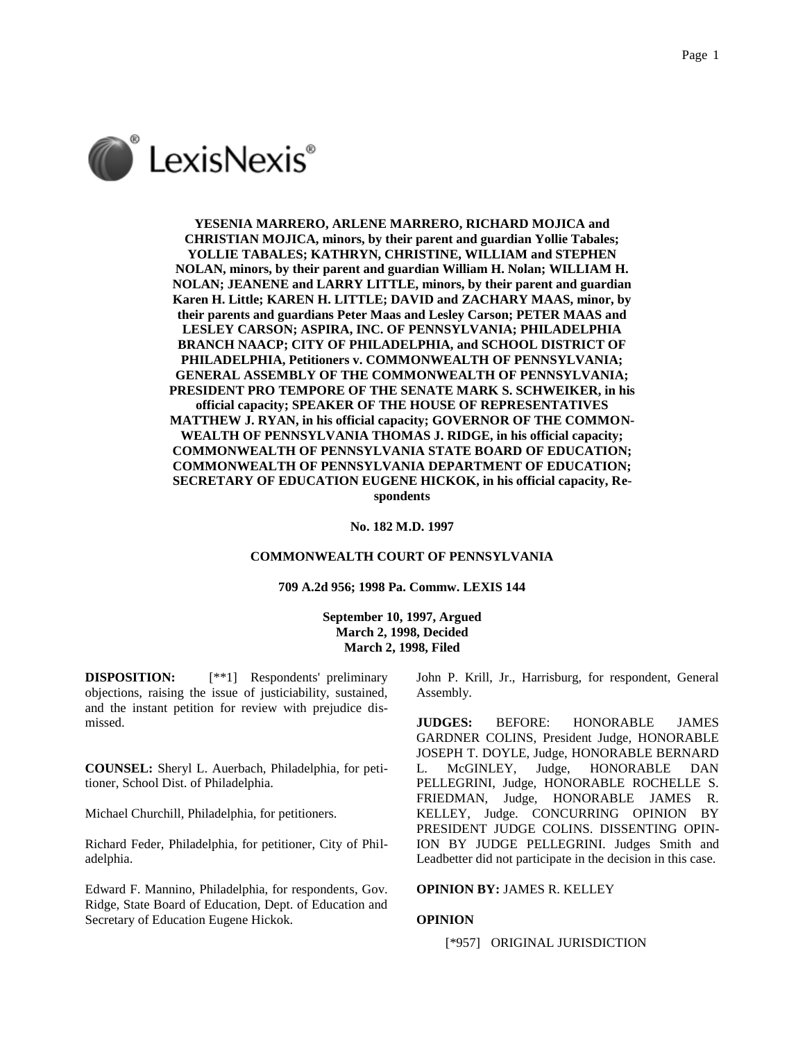

**YESENIA MARRERO, ARLENE MARRERO, RICHARD MOJICA and CHRISTIAN MOJICA, minors, by their parent and guardian Yollie Tabales; YOLLIE TABALES; KATHRYN, CHRISTINE, WILLIAM and STEPHEN NOLAN, minors, by their parent and guardian William H. Nolan; WILLIAM H. NOLAN; JEANENE and LARRY LITTLE, minors, by their parent and guardian Karen H. Little; KAREN H. LITTLE; DAVID and ZACHARY MAAS, minor, by their parents and guardians Peter Maas and Lesley Carson; PETER MAAS and LESLEY CARSON; ASPIRA, INC. OF PENNSYLVANIA; PHILADELPHIA BRANCH NAACP; CITY OF PHILADELPHIA, and SCHOOL DISTRICT OF PHILADELPHIA, Petitioners v. COMMONWEALTH OF PENNSYLVANIA; GENERAL ASSEMBLY OF THE COMMONWEALTH OF PENNSYLVANIA; PRESIDENT PRO TEMPORE OF THE SENATE MARK S. SCHWEIKER, in his official capacity; SPEAKER OF THE HOUSE OF REPRESENTATIVES MATTHEW J. RYAN, in his official capacity; GOVERNOR OF THE COMMON-WEALTH OF PENNSYLVANIA THOMAS J. RIDGE, in his official capacity; COMMONWEALTH OF PENNSYLVANIA STATE BOARD OF EDUCATION; COMMONWEALTH OF PENNSYLVANIA DEPARTMENT OF EDUCATION; SECRETARY OF EDUCATION EUGENE HICKOK, in his official capacity, Respondents**

**No. 182 M.D. 1997** 

# **COMMONWEALTH COURT OF PENNSYLVANIA**

### **709 A.2d 956; 1998 Pa. Commw. LEXIS 144**

**September 10, 1997, Argued March 2, 1998, Decided March 2, 1998, Filed** 

**DISPOSITION:** [\*\*1] Respondents' preliminary objections, raising the issue of justiciability, sustained, and the instant petition for review with prejudice dismissed.

**COUNSEL:** Sheryl L. Auerbach, Philadelphia, for petitioner, School Dist. of Philadelphia.

Michael Churchill, Philadelphia, for petitioners.

Richard Feder, Philadelphia, for petitioner, City of Philadelphia.

Edward F. Mannino, Philadelphia, for respondents, Gov. Ridge, State Board of Education, Dept. of Education and Secretary of Education Eugene Hickok.

John P. Krill, Jr., Harrisburg, for respondent, General Assembly.

**JUDGES:** BEFORE: HONORABLE JAMES GARDNER COLINS, President Judge, HONORABLE JOSEPH T. DOYLE, Judge, HONORABLE BERNARD L. McGINLEY, Judge, HONORABLE DAN PELLEGRINI, Judge, HONORABLE ROCHELLE S. FRIEDMAN, Judge, HONORABLE JAMES R. KELLEY, Judge. CONCURRING OPINION BY PRESIDENT JUDGE COLINS. DISSENTING OPIN-ION BY JUDGE PELLEGRINI. Judges Smith and Leadbetter did not participate in the decision in this case.

# **OPINION BY:** JAMES R. KELLEY

## **OPINION**

[\*957] ORIGINAL JURISDICTION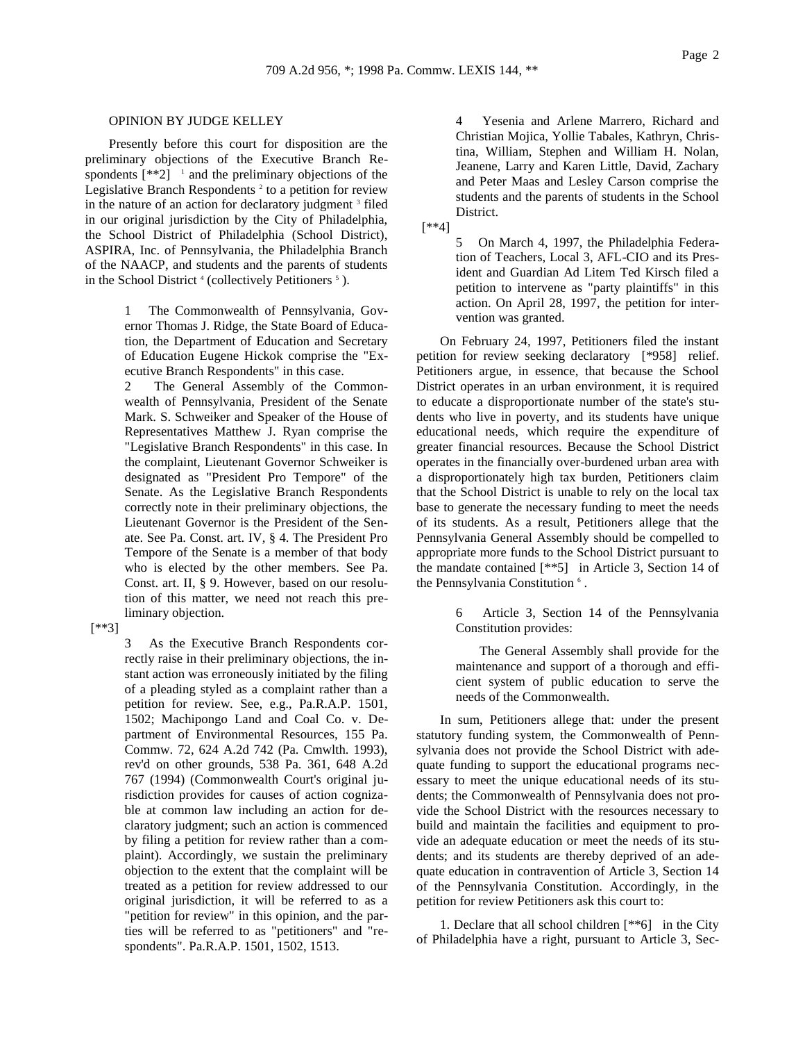### OPINION BY JUDGE KELLEY

Presently before this court for disposition are the preliminary objections of the Executive Branch Respondents  $[$ <sup>\*\*</sup>2 $]$ <sup>1</sup> and the preliminary objections of the Legislative Branch Respondents<sup>2</sup> to a petition for review in the nature of an action for declaratory judgment<sup>3</sup> filed in our original jurisdiction by the City of Philadelphia, the School District of Philadelphia (School District), ASPIRA, Inc. of Pennsylvania, the Philadelphia Branch of the NAACP, and students and the parents of students in the School District<sup>4</sup> (collectively Petitioners<sup>5</sup>).

> 1 The Commonwealth of Pennsylvania, Governor Thomas J. Ridge, the State Board of Education, the Department of Education and Secretary of Education Eugene Hickok comprise the "Executive Branch Respondents" in this case.

> 2 The General Assembly of the Commonwealth of Pennsylvania, President of the Senate Mark. S. Schweiker and Speaker of the House of Representatives Matthew J. Ryan comprise the "Legislative Branch Respondents" in this case. In the complaint, Lieutenant Governor Schweiker is designated as "President Pro Tempore" of the Senate. As the Legislative Branch Respondents correctly note in their preliminary objections, the Lieutenant Governor is the President of the Senate. See Pa. Const. art. IV, § 4. The President Pro Tempore of the Senate is a member of that body who is elected by the other members. See Pa. Const. art. II, § 9. However, based on our resolution of this matter, we need not reach this preliminary objection.

[\*\*3]

As the Executive Branch Respondents correctly raise in their preliminary objections, the instant action was erroneously initiated by the filing of a pleading styled as a complaint rather than a petition for review. See, e.g., Pa.R.A.P. 1501, 1502; Machipongo Land and Coal Co. v. Department of Environmental Resources, 155 Pa. Commw. 72, 624 A.2d 742 (Pa. Cmwlth. 1993), rev'd on other grounds, 538 Pa. 361, 648 A.2d 767 (1994) (Commonwealth Court's original jurisdiction provides for causes of action cognizable at common law including an action for declaratory judgment; such an action is commenced by filing a petition for review rather than a complaint). Accordingly, we sustain the preliminary objection to the extent that the complaint will be treated as a petition for review addressed to our original jurisdiction, it will be referred to as a "petition for review" in this opinion, and the parties will be referred to as "petitioners" and "respondents". Pa.R.A.P. 1501, 1502, 1513.

4 Yesenia and Arlene Marrero, Richard and Christian Mojica, Yollie Tabales, Kathryn, Christina, William, Stephen and William H. Nolan, Jeanene, Larry and Karen Little, David, Zachary and Peter Maas and Lesley Carson comprise the students and the parents of students in the School District.

[\*\*4]

5 On March 4, 1997, the Philadelphia Federation of Teachers, Local 3, AFL-CIO and its President and Guardian Ad Litem Ted Kirsch filed a petition to intervene as "party plaintiffs" in this action. On April 28, 1997, the petition for intervention was granted.

On February 24, 1997, Petitioners filed the instant petition for review seeking declaratory [\*958] relief. Petitioners argue, in essence, that because the School District operates in an urban environment, it is required to educate a disproportionate number of the state's students who live in poverty, and its students have unique educational needs, which require the expenditure of greater financial resources. Because the School District operates in the financially over-burdened urban area with a disproportionately high tax burden, Petitioners claim that the School District is unable to rely on the local tax base to generate the necessary funding to meet the needs of its students. As a result, Petitioners allege that the Pennsylvania General Assembly should be compelled to appropriate more funds to the School District pursuant to the mandate contained [\*\*5] in Article 3, Section 14 of the Pennsylvania Constitution<sup>6</sup>.

> 6 Article 3, Section 14 of the Pennsylvania Constitution provides:

> The General Assembly shall provide for the maintenance and support of a thorough and efficient system of public education to serve the needs of the Commonwealth.

In sum, Petitioners allege that: under the present statutory funding system, the Commonwealth of Pennsylvania does not provide the School District with adequate funding to support the educational programs necessary to meet the unique educational needs of its students; the Commonwealth of Pennsylvania does not provide the School District with the resources necessary to build and maintain the facilities and equipment to provide an adequate education or meet the needs of its students; and its students are thereby deprived of an adequate education in contravention of Article 3, Section 14 of the Pennsylvania Constitution. Accordingly, in the petition for review Petitioners ask this court to:

1. Declare that all school children [\*\*6] in the City of Philadelphia have a right, pursuant to Article 3, Sec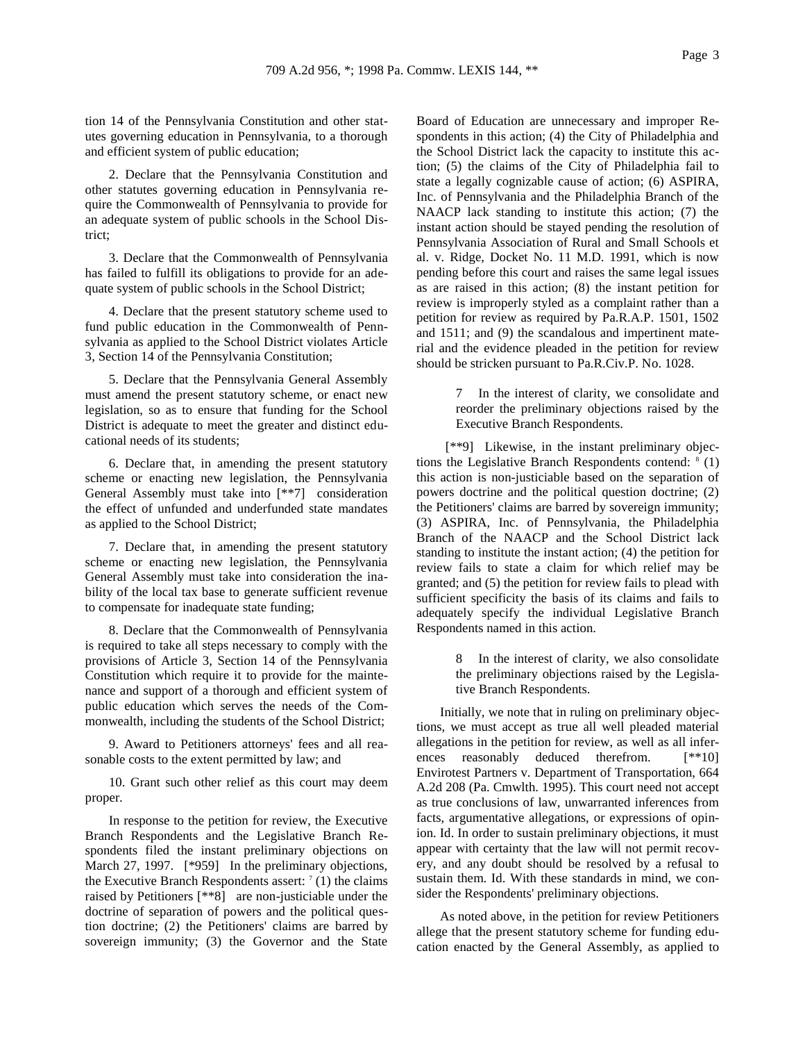tion 14 of the Pennsylvania Constitution and other statutes governing education in Pennsylvania, to a thorough and efficient system of public education;

2. Declare that the Pennsylvania Constitution and other statutes governing education in Pennsylvania require the Commonwealth of Pennsylvania to provide for an adequate system of public schools in the School District;

3. Declare that the Commonwealth of Pennsylvania has failed to fulfill its obligations to provide for an adequate system of public schools in the School District;

4. Declare that the present statutory scheme used to fund public education in the Commonwealth of Pennsylvania as applied to the School District violates Article 3, Section 14 of the Pennsylvania Constitution;

5. Declare that the Pennsylvania General Assembly must amend the present statutory scheme, or enact new legislation, so as to ensure that funding for the School District is adequate to meet the greater and distinct educational needs of its students;

6. Declare that, in amending the present statutory scheme or enacting new legislation, the Pennsylvania General Assembly must take into [\*\*7] consideration the effect of unfunded and underfunded state mandates as applied to the School District;

7. Declare that, in amending the present statutory scheme or enacting new legislation, the Pennsylvania General Assembly must take into consideration the inability of the local tax base to generate sufficient revenue to compensate for inadequate state funding;

8. Declare that the Commonwealth of Pennsylvania is required to take all steps necessary to comply with the provisions of Article 3, Section 14 of the Pennsylvania Constitution which require it to provide for the maintenance and support of a thorough and efficient system of public education which serves the needs of the Commonwealth, including the students of the School District;

9. Award to Petitioners attorneys' fees and all reasonable costs to the extent permitted by law; and

10. Grant such other relief as this court may deem proper.

In response to the petition for review, the Executive Branch Respondents and the Legislative Branch Respondents filed the instant preliminary objections on March 27, 1997. [\*959] In the preliminary objections, the Executive Branch Respondents assert:  $7(1)$  the claims raised by Petitioners [\*\*8] are non-justiciable under the doctrine of separation of powers and the political question doctrine; (2) the Petitioners' claims are barred by sovereign immunity; (3) the Governor and the State

Board of Education are unnecessary and improper Respondents in this action; (4) the City of Philadelphia and the School District lack the capacity to institute this action; (5) the claims of the City of Philadelphia fail to state a legally cognizable cause of action; (6) ASPIRA, Inc. of Pennsylvania and the Philadelphia Branch of the NAACP lack standing to institute this action; (7) the instant action should be stayed pending the resolution of Pennsylvania Association of Rural and Small Schools et al. v. Ridge, Docket No. 11 M.D. 1991, which is now pending before this court and raises the same legal issues as are raised in this action; (8) the instant petition for review is improperly styled as a complaint rather than a petition for review as required by Pa.R.A.P. 1501, 1502 and 1511; and (9) the scandalous and impertinent material and the evidence pleaded in the petition for review should be stricken pursuant to Pa.R.Civ.P. No. 1028.

> 7 In the interest of clarity, we consolidate and reorder the preliminary objections raised by the Executive Branch Respondents.

[\*\*9] Likewise, in the instant preliminary objections the Legislative Branch Respondents contend: <sup>8</sup> (1) this action is non-justiciable based on the separation of powers doctrine and the political question doctrine; (2) the Petitioners' claims are barred by sovereign immunity; (3) ASPIRA, Inc. of Pennsylvania, the Philadelphia Branch of the NAACP and the School District lack standing to institute the instant action; (4) the petition for review fails to state a claim for which relief may be granted; and (5) the petition for review fails to plead with sufficient specificity the basis of its claims and fails to adequately specify the individual Legislative Branch Respondents named in this action.

> 8 In the interest of clarity, we also consolidate the preliminary objections raised by the Legislative Branch Respondents.

Initially, we note that in ruling on preliminary objections, we must accept as true all well pleaded material allegations in the petition for review, as well as all inferences reasonably deduced therefrom.  $[**10]$ Envirotest Partners v. Department of Transportation, 664 A.2d 208 (Pa. Cmwlth. 1995). This court need not accept as true conclusions of law, unwarranted inferences from facts, argumentative allegations, or expressions of opinion. Id. In order to sustain preliminary objections, it must appear with certainty that the law will not permit recovery, and any doubt should be resolved by a refusal to sustain them. Id. With these standards in mind, we consider the Respondents' preliminary objections.

As noted above, in the petition for review Petitioners allege that the present statutory scheme for funding education enacted by the General Assembly, as applied to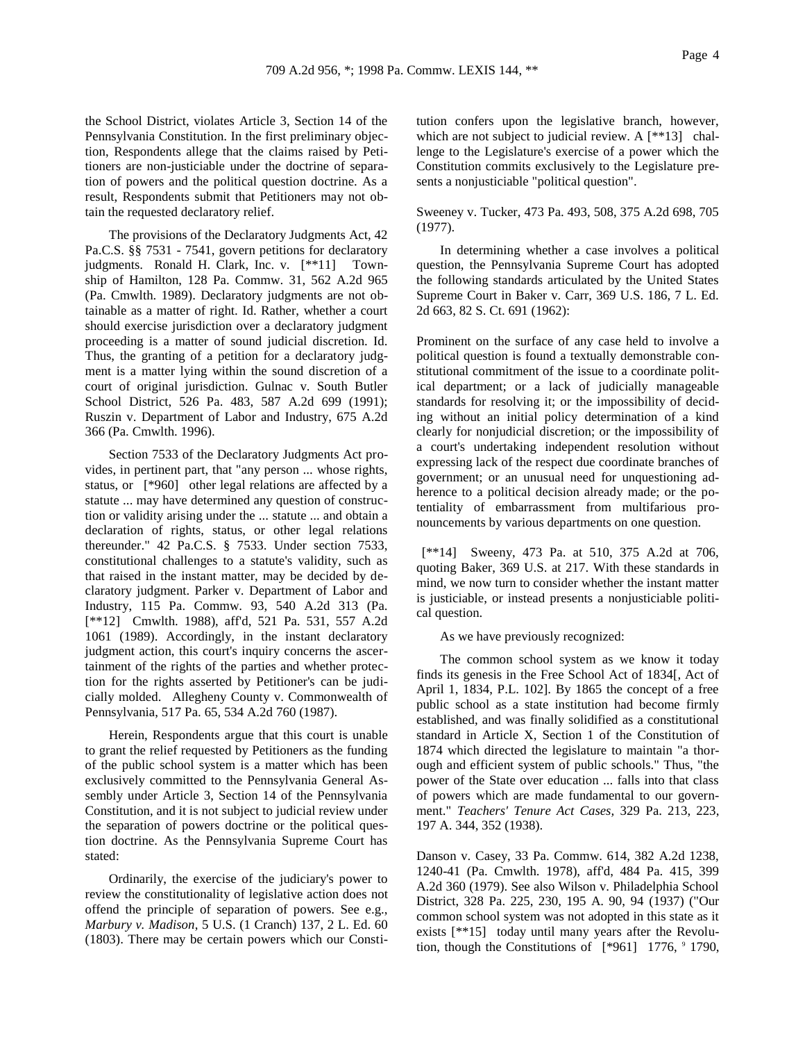the School District, violates Article 3, Section 14 of the Pennsylvania Constitution. In the first preliminary objection, Respondents allege that the claims raised by Petitioners are non-justiciable under the doctrine of separation of powers and the political question doctrine. As a result, Respondents submit that Petitioners may not obtain the requested declaratory relief.

The provisions of the Declaratory Judgments Act, 42 Pa.C.S. §§ 7531 - 7541, govern petitions for declaratory judgments. Ronald H. Clark, Inc. v. [\*\*11] Township of Hamilton, 128 Pa. Commw. 31, 562 A.2d 965 (Pa. Cmwlth. 1989). Declaratory judgments are not obtainable as a matter of right. Id. Rather, whether a court should exercise jurisdiction over a declaratory judgment proceeding is a matter of sound judicial discretion. Id. Thus, the granting of a petition for a declaratory judgment is a matter lying within the sound discretion of a court of original jurisdiction. Gulnac v. South Butler School District, 526 Pa. 483, 587 A.2d 699 (1991); Ruszin v. Department of Labor and Industry, 675 A.2d 366 (Pa. Cmwlth. 1996).

Section 7533 of the Declaratory Judgments Act provides, in pertinent part, that "any person ... whose rights, status, or [\*960] other legal relations are affected by a statute ... may have determined any question of construction or validity arising under the ... statute ... and obtain a declaration of rights, status, or other legal relations thereunder." 42 Pa.C.S. § 7533. Under section 7533, constitutional challenges to a statute's validity, such as that raised in the instant matter, may be decided by declaratory judgment. Parker v. Department of Labor and Industry, 115 Pa. Commw. 93, 540 A.2d 313 (Pa. [\*\*12] Cmwlth. 1988), aff'd, 521 Pa. 531, 557 A.2d 1061 (1989). Accordingly, in the instant declaratory judgment action, this court's inquiry concerns the ascertainment of the rights of the parties and whether protection for the rights asserted by Petitioner's can be judicially molded. Allegheny County v. Commonwealth of Pennsylvania, 517 Pa. 65, 534 A.2d 760 (1987).

Herein, Respondents argue that this court is unable to grant the relief requested by Petitioners as the funding of the public school system is a matter which has been exclusively committed to the Pennsylvania General Assembly under Article 3, Section 14 of the Pennsylvania Constitution, and it is not subject to judicial review under the separation of powers doctrine or the political question doctrine. As the Pennsylvania Supreme Court has stated:

Ordinarily, the exercise of the judiciary's power to review the constitutionality of legislative action does not offend the principle of separation of powers. See e.g., *Marbury v. Madison*, 5 U.S. (1 Cranch) 137, 2 L. Ed. 60 (1803). There may be certain powers which our Constitution confers upon the legislative branch, however, which are not subject to judicial review. A [\*\*13] challenge to the Legislature's exercise of a power which the Constitution commits exclusively to the Legislature presents a nonjusticiable "political question".

Sweeney v. Tucker, 473 Pa. 493, 508, 375 A.2d 698, 705 (1977).

In determining whether a case involves a political question, the Pennsylvania Supreme Court has adopted the following standards articulated by the United States Supreme Court in Baker v. Carr, 369 U.S. 186, 7 L. Ed. 2d 663, 82 S. Ct. 691 (1962):

Prominent on the surface of any case held to involve a political question is found a textually demonstrable constitutional commitment of the issue to a coordinate political department; or a lack of judicially manageable standards for resolving it; or the impossibility of deciding without an initial policy determination of a kind clearly for nonjudicial discretion; or the impossibility of a court's undertaking independent resolution without expressing lack of the respect due coordinate branches of government; or an unusual need for unquestioning adherence to a political decision already made; or the potentiality of embarrassment from multifarious pronouncements by various departments on one question.

[\*\*14] Sweeny, 473 Pa. at 510, 375 A.2d at 706, quoting Baker, 369 U.S. at 217. With these standards in mind, we now turn to consider whether the instant matter is justiciable, or instead presents a nonjusticiable political question.

As we have previously recognized:

The common school system as we know it today finds its genesis in the Free School Act of 1834[, Act of April 1, 1834, P.L. 102]. By 1865 the concept of a free public school as a state institution had become firmly established, and was finally solidified as a constitutional standard in Article X, Section 1 of the Constitution of 1874 which directed the legislature to maintain "a thorough and efficient system of public schools." Thus, "the power of the State over education ... falls into that class of powers which are made fundamental to our government." *Teachers' Tenure Act Cases,* 329 Pa. 213, 223, 197 A. 344, 352 (1938).

Danson v. Casey, 33 Pa. Commw. 614, 382 A.2d 1238, 1240-41 (Pa. Cmwlth. 1978), aff'd, 484 Pa. 415, 399 A.2d 360 (1979). See also Wilson v. Philadelphia School District, 328 Pa. 225, 230, 195 A. 90, 94 (1937) ("Our common school system was not adopted in this state as it exists [\*\*15] today until many years after the Revolution, though the Constitutions of  $[*/961]$  1776,  $*$  1790,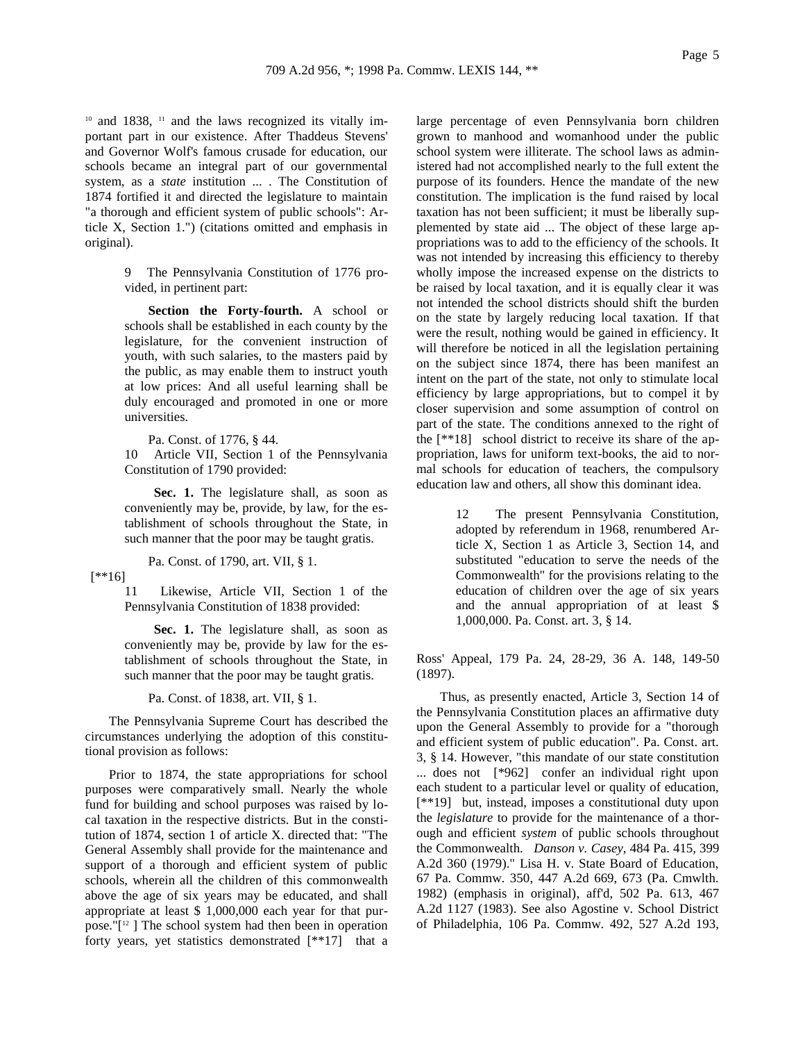$10$  and 1838,  $11$  and the laws recognized its vitally important part in our existence. After Thaddeus Stevens' and Governor Wolf's famous crusade for education, our schools became an integral part of our governmental system, as a *state* institution ... . The Constitution of 1874 fortified it and directed the legislature to maintain "a thorough and efficient system of public schools": Article X, Section 1.") (citations omitted and emphasis in original).

> 9 The Pennsylvania Constitution of 1776 provided, in pertinent part:

> **Section the Forty-fourth.** A school or schools shall be established in each county by the legislature, for the convenient instruction of youth, with such salaries, to the masters paid by the public, as may enable them to instruct youth at low prices: And all useful learning shall be duly encouraged and promoted in one or more universities.

Pa. Const. of 1776, § 44.

10 Article VII, Section 1 of the Pennsylvania Constitution of 1790 provided:

Sec. 1. The legislature shall, as soon as conveniently may be, provide, by law, for the establishment of schools throughout the State, in such manner that the poor may be taught gratis.

Pa. Const. of 1790, art. VII, § 1.

[\*\*16]

11 Likewise, Article VII, Section 1 of the Pennsylvania Constitution of 1838 provided:

Sec. 1. The legislature shall, as soon as conveniently may be, provide by law for the establishment of schools throughout the State, in such manner that the poor may be taught gratis.

Pa. Const. of 1838, art. VII, § 1.

The Pennsylvania Supreme Court has described the circumstances underlying the adoption of this constitutional provision as follows:

Prior to 1874, the state appropriations for school purposes were comparatively small. Nearly the whole fund for building and school purposes was raised by local taxation in the respective districts. But in the constitution of 1874, section 1 of article X. directed that: "The General Assembly shall provide for the maintenance and support of a thorough and efficient system of public schools, wherein all the children of this commonwealth above the age of six years may be educated, and shall appropriate at least \$ 1,000,000 each year for that purpose."[<sup>12</sup> ] The school system had then been in operation forty years, yet statistics demonstrated [\*\*17] that a large percentage of even Pennsylvania born children grown to manhood and womanhood under the public school system were illiterate. The school laws as administered had not accomplished nearly to the full extent the purpose of its founders. Hence the mandate of the new constitution. The implication is the fund raised by local taxation has not been sufficient; it must be liberally supplemented by state aid ... The object of these large appropriations was to add to the efficiency of the schools. It was not intended by increasing this efficiency to thereby wholly impose the increased expense on the districts to be raised by local taxation, and it is equally clear it was not intended the school districts should shift the burden on the state by largely reducing local taxation. If that were the result, nothing would be gained in efficiency. It will therefore be noticed in all the legislation pertaining on the subject since 1874, there has been manifest an intent on the part of the state, not only to stimulate local efficiency by large appropriations, but to compel it by closer supervision and some assumption of control on part of the state. The conditions annexed to the right of the [\*\*18] school district to receive its share of the appropriation, laws for uniform text-books, the aid to normal schools for education of teachers, the compulsory education law and others, all show this dominant idea.

> 12 The present Pennsylvania Constitution, adopted by referendum in 1968, renumbered Article X, Section 1 as Article 3, Section 14, and substituted "education to serve the needs of the Commonwealth" for the provisions relating to the education of children over the age of six years and the annual appropriation of at least \$ 1,000,000. Pa. Const. art. 3, § 14.

Ross' Appeal, 179 Pa. 24, 28-29, 36 A. 148, 149-50 (1897).

Thus, as presently enacted, Article 3, Section 14 of the Pennsylvania Constitution places an affirmative duty upon the General Assembly to provide for a "thorough and efficient system of public education". Pa. Const. art. 3, § 14. However, "this mandate of our state constitution ... does not [\*962] confer an individual right upon each student to a particular level or quality of education, [\*\*19] but, instead, imposes a constitutional duty upon the *legislature* to provide for the maintenance of a thorough and efficient *system* of public schools throughout the Commonwealth. *Danson v. Casey,* 484 Pa. 415, 399 A.2d 360 (1979)." Lisa H. v. State Board of Education, 67 Pa. Commw. 350, 447 A.2d 669, 673 (Pa. Cmwlth. 1982) (emphasis in original), aff'd, 502 Pa. 613, 467 A.2d 1127 (1983). See also Agostine v. School District of Philadelphia, 106 Pa. Commw. 492, 527 A.2d 193,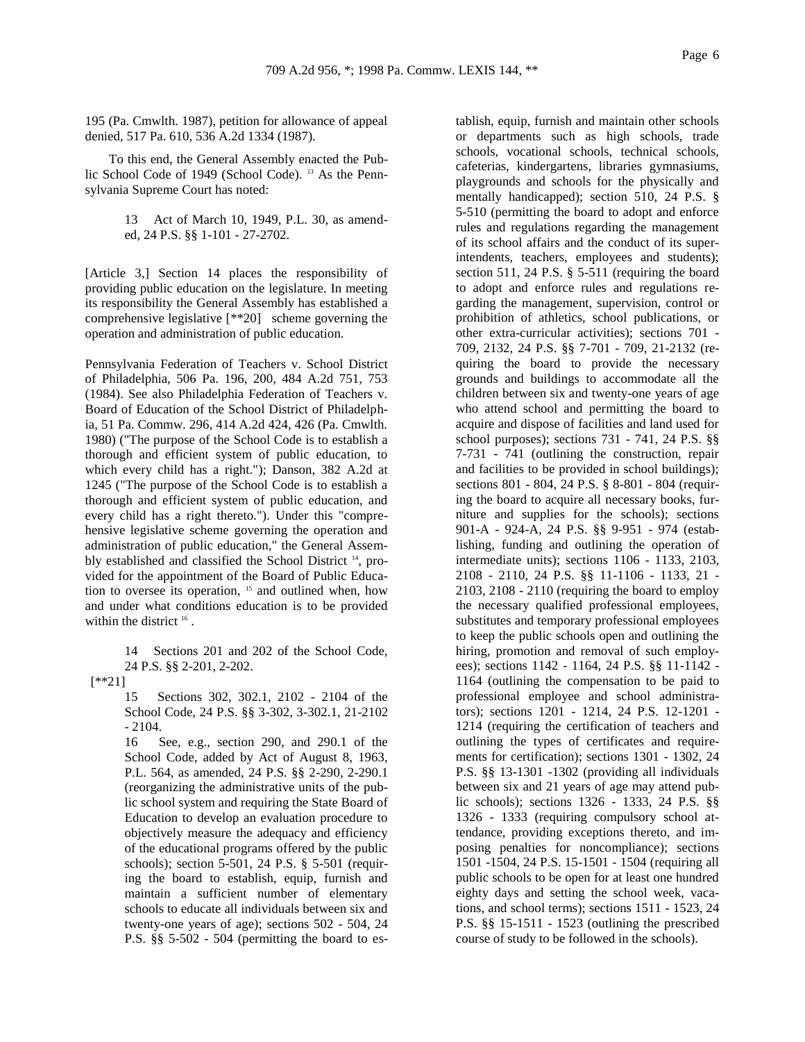195 (Pa. Cmwlth. 1987), petition for allowance of appeal denied, 517 Pa. 610, 536 A.2d 1334 (1987).

To this end, the General Assembly enacted the Public School Code of 1949 (School Code). <sup>13</sup> As the Pennsylvania Supreme Court has noted:

> 13 Act of March 10, 1949, P.L. 30, as amended, 24 P.S. §§ 1-101 - 27-2702.

[Article 3,] Section 14 places the responsibility of providing public education on the legislature. In meeting its responsibility the General Assembly has established a comprehensive legislative [\*\*20] scheme governing the operation and administration of public education.

Pennsylvania Federation of Teachers v. School District of Philadelphia, 506 Pa. 196, 200, 484 A.2d 751, 753 (1984). See also Philadelphia Federation of Teachers v. Board of Education of the School District of Philadelphia, 51 Pa. Commw. 296, 414 A.2d 424, 426 (Pa. Cmwlth. 1980) ("The purpose of the School Code is to establish a thorough and efficient system of public education, to which every child has a right."); Danson, 382 A.2d at 1245 ("The purpose of the School Code is to establish a thorough and efficient system of public education, and every child has a right thereto."). Under this "comprehensive legislative scheme governing the operation and administration of public education," the General Assembly established and classified the School District 14, provided for the appointment of the Board of Public Education to oversee its operation, <sup>15</sup> and outlined when, how and under what conditions education is to be provided within the district<sup>16</sup>.

> 14 Sections 201 and 202 of the School Code, 24 P.S. §§ 2-201, 2-202.

[\*\*21]

15 Sections 302, 302.1, 2102 - 2104 of the School Code, 24 P.S. §§ 3-302, 3-302.1, 21-2102  $-2104.$ 

16 See, e.g., section 290, and 290.1 of the School Code, added by Act of August 8, 1963, P.L. 564, as amended, 24 P.S. §§ 2-290, 2-290.1 (reorganizing the administrative units of the public school system and requiring the State Board of Education to develop an evaluation procedure to objectively measure the adequacy and efficiency of the educational programs offered by the public schools); section 5-501, 24 P.S. § 5-501 (requiring the board to establish, equip, furnish and maintain a sufficient number of elementary schools to educate all individuals between six and twenty-one years of age); sections 502 - 504, 24 P.S. §§ 5-502 - 504 (permitting the board to establish, equip, furnish and maintain other schools or departments such as high schools, trade schools, vocational schools, technical schools, cafeterias, kindergartens, libraries gymnasiums, playgrounds and schools for the physically and mentally handicapped); section 510, 24 P.S. § 5-510 (permitting the board to adopt and enforce rules and regulations regarding the management of its school affairs and the conduct of its superintendents, teachers, employees and students); section 511, 24 P.S. § 5-511 (requiring the board to adopt and enforce rules and regulations regarding the management, supervision, control or prohibition of athletics, school publications, or other extra-curricular activities); sections 701 - 709, 2132, 24 P.S. §§ 7-701 - 709, 21-2132 (requiring the board to provide the necessary grounds and buildings to accommodate all the children between six and twenty-one years of age who attend school and permitting the board to acquire and dispose of facilities and land used for school purposes); sections 731 - 741, 24 P.S. §§ 7-731 - 741 (outlining the construction, repair and facilities to be provided in school buildings); sections 801 - 804, 24 P.S. § 8-801 - 804 (requiring the board to acquire all necessary books, furniture and supplies for the schools); sections 901-A - 924-A, 24 P.S. §§ 9-951 - 974 (establishing, funding and outlining the operation of intermediate units); sections 1106 - 1133, 2103, 2108 - 2110, 24 P.S. §§ 11-1106 - 1133, 21 - 2103, 2108 - 2110 (requiring the board to employ the necessary qualified professional employees, substitutes and temporary professional employees to keep the public schools open and outlining the hiring, promotion and removal of such employees); sections 1142 - 1164, 24 P.S. §§ 11-1142 - 1164 (outlining the compensation to be paid to professional employee and school administrators); sections 1201 - 1214, 24 P.S. 12-1201 - 1214 (requiring the certification of teachers and outlining the types of certificates and requirements for certification); sections 1301 - 1302, 24 P.S. §§ 13-1301 -1302 (providing all individuals between six and 21 years of age may attend public schools); sections 1326 - 1333, 24 P.S. §§ 1326 - 1333 (requiring compulsory school attendance, providing exceptions thereto, and imposing penalties for noncompliance); sections 1501 -1504, 24 P.S. 15-1501 - 1504 (requiring all public schools to be open for at least one hundred eighty days and setting the school week, vacations, and school terms); sections 1511 - 1523, 24 P.S. §§ 15-1511 - 1523 (outlining the prescribed course of study to be followed in the schools).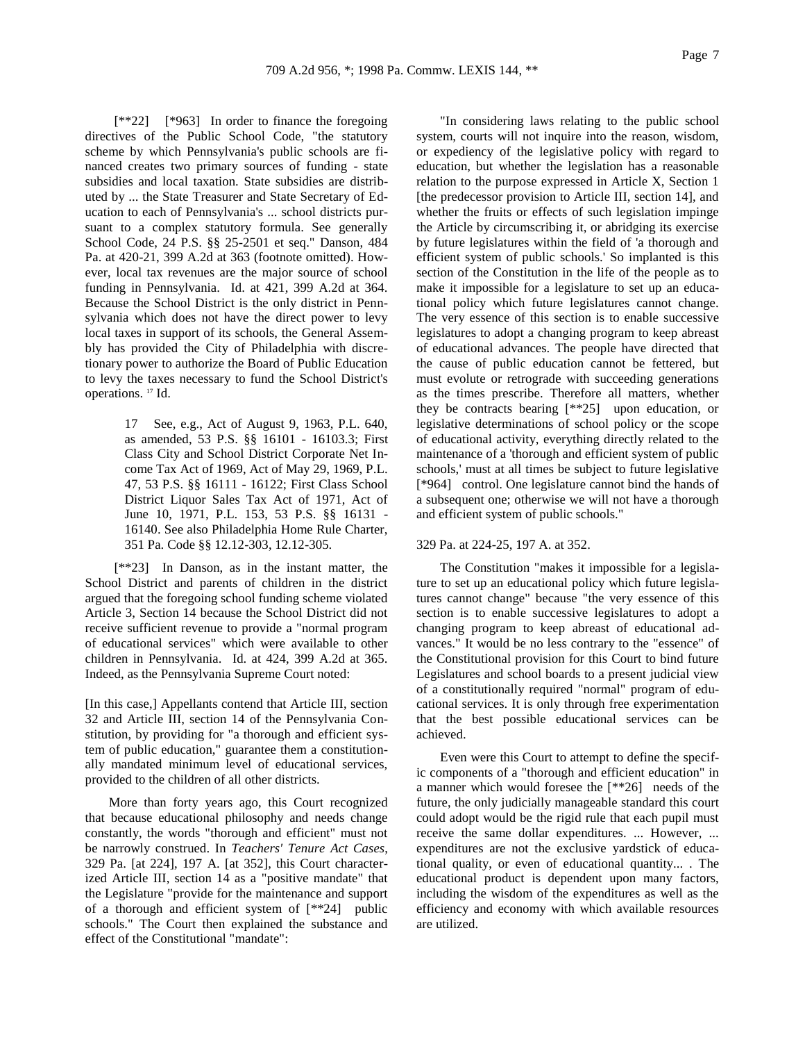[\*\*22] [\*963] In order to finance the foregoing directives of the Public School Code, "the statutory scheme by which Pennsylvania's public schools are financed creates two primary sources of funding - state subsidies and local taxation. State subsidies are distributed by ... the State Treasurer and State Secretary of Education to each of Pennsylvania's ... school districts pursuant to a complex statutory formula. See generally School Code, 24 P.S. §§ 25-2501 et seq." Danson, 484 Pa. at 420-21, 399 A.2d at 363 (footnote omitted). However, local tax revenues are the major source of school funding in Pennsylvania. Id. at 421, 399 A.2d at 364. Because the School District is the only district in Pennsylvania which does not have the direct power to levy local taxes in support of its schools, the General Assembly has provided the City of Philadelphia with discretionary power to authorize the Board of Public Education to levy the taxes necessary to fund the School District's operations. <sup>17</sup> Id.

> 17 See, e.g., Act of August 9, 1963, P.L. 640, as amended, 53 P.S. §§ 16101 - 16103.3; First Class City and School District Corporate Net Income Tax Act of 1969, Act of May 29, 1969, P.L. 47, 53 P.S. §§ 16111 - 16122; First Class School District Liquor Sales Tax Act of 1971, Act of June 10, 1971, P.L. 153, 53 P.S. §§ 16131 - 16140. See also Philadelphia Home Rule Charter, 351 Pa. Code §§ 12.12-303, 12.12-305.

[\*\*23] In Danson, as in the instant matter, the School District and parents of children in the district argued that the foregoing school funding scheme violated Article 3, Section 14 because the School District did not receive sufficient revenue to provide a "normal program of educational services" which were available to other children in Pennsylvania. Id. at 424, 399 A.2d at 365. Indeed, as the Pennsylvania Supreme Court noted:

[In this case,] Appellants contend that Article III, section 32 and Article III, section 14 of the Pennsylvania Constitution, by providing for "a thorough and efficient system of public education," guarantee them a constitutionally mandated minimum level of educational services, provided to the children of all other districts.

More than forty years ago, this Court recognized that because educational philosophy and needs change constantly, the words "thorough and efficient" must not be narrowly construed. In *Teachers' Tenure Act Cases*, 329 Pa. [at 224], 197 A. [at 352], this Court characterized Article III, section 14 as a "positive mandate" that the Legislature "provide for the maintenance and support of a thorough and efficient system of [\*\*24] public schools." The Court then explained the substance and effect of the Constitutional "mandate":

"In considering laws relating to the public school system, courts will not inquire into the reason, wisdom, or expediency of the legislative policy with regard to education, but whether the legislation has a reasonable relation to the purpose expressed in Article X, Section 1 [the predecessor provision to Article III, section 14], and whether the fruits or effects of such legislation impinge the Article by circumscribing it, or abridging its exercise by future legislatures within the field of 'a thorough and efficient system of public schools.' So implanted is this section of the Constitution in the life of the people as to make it impossible for a legislature to set up an educational policy which future legislatures cannot change. The very essence of this section is to enable successive legislatures to adopt a changing program to keep abreast of educational advances. The people have directed that the cause of public education cannot be fettered, but must evolute or retrograde with succeeding generations as the times prescribe. Therefore all matters, whether they be contracts bearing [\*\*25] upon education, or legislative determinations of school policy or the scope of educational activity, everything directly related to the maintenance of a 'thorough and efficient system of public schools,' must at all times be subject to future legislative [\*964] control. One legislature cannot bind the hands of a subsequent one; otherwise we will not have a thorough and efficient system of public schools."

### 329 Pa. at 224-25, 197 A. at 352.

The Constitution "makes it impossible for a legislature to set up an educational policy which future legislatures cannot change" because "the very essence of this section is to enable successive legislatures to adopt a changing program to keep abreast of educational advances." It would be no less contrary to the "essence" of the Constitutional provision for this Court to bind future Legislatures and school boards to a present judicial view of a constitutionally required "normal" program of educational services. It is only through free experimentation that the best possible educational services can be achieved.

Even were this Court to attempt to define the specific components of a "thorough and efficient education" in a manner which would foresee the [\*\*26] needs of the future, the only judicially manageable standard this court could adopt would be the rigid rule that each pupil must receive the same dollar expenditures. ... However, ... expenditures are not the exclusive yardstick of educational quality, or even of educational quantity... . The educational product is dependent upon many factors, including the wisdom of the expenditures as well as the efficiency and economy with which available resources are utilized.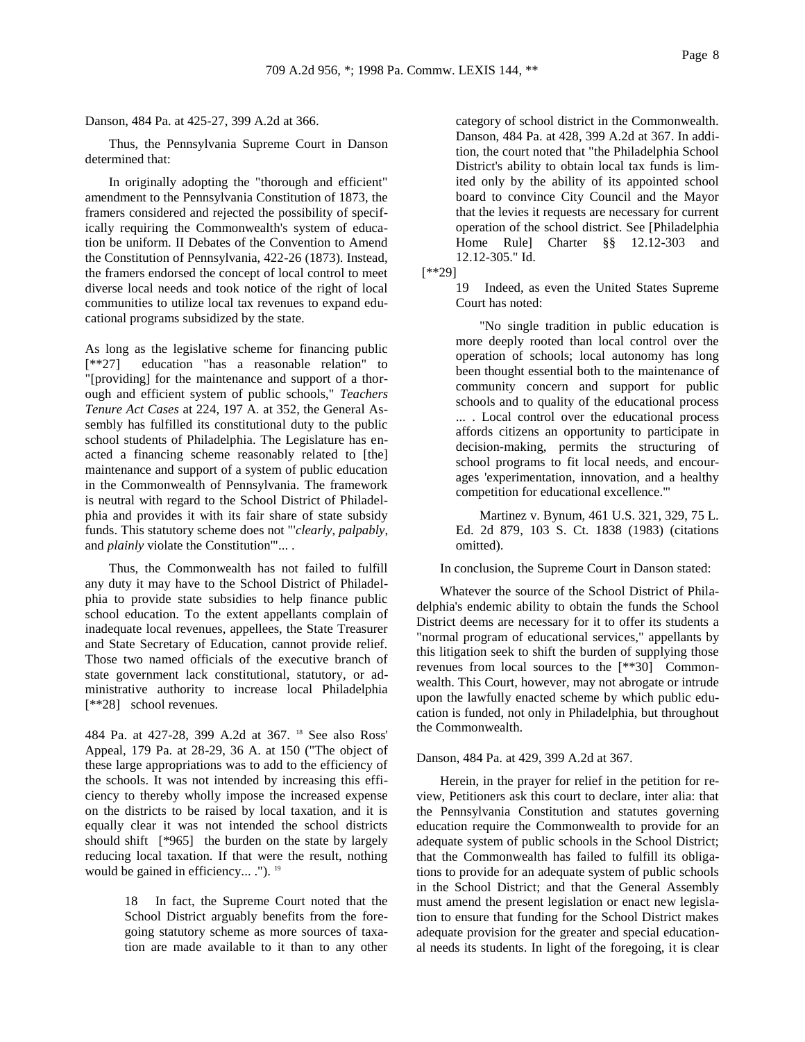Danson, 484 Pa. at 425-27, 399 A.2d at 366.

Thus, the Pennsylvania Supreme Court in Danson determined that:

In originally adopting the "thorough and efficient" amendment to the Pennsylvania Constitution of 1873, the framers considered and rejected the possibility of specifically requiring the Commonwealth's system of education be uniform. II Debates of the Convention to Amend the Constitution of Pennsylvania, 422-26 (1873). Instead, the framers endorsed the concept of local control to meet diverse local needs and took notice of the right of local communities to utilize local tax revenues to expand educational programs subsidized by the state.

As long as the legislative scheme for financing public [\*\*27] education "has a reasonable relation" to "[providing] for the maintenance and support of a thorough and efficient system of public schools," *Teachers Tenure Act Cases* at 224, 197 A. at 352, the General Assembly has fulfilled its constitutional duty to the public school students of Philadelphia. The Legislature has enacted a financing scheme reasonably related to [the] maintenance and support of a system of public education in the Commonwealth of Pennsylvania. The framework is neutral with regard to the School District of Philadelphia and provides it with its fair share of state subsidy funds. This statutory scheme does not "'*clearly*, *palpably*, and *plainly* violate the Constitution'"... .

Thus, the Commonwealth has not failed to fulfill any duty it may have to the School District of Philadelphia to provide state subsidies to help finance public school education. To the extent appellants complain of inadequate local revenues, appellees, the State Treasurer and State Secretary of Education, cannot provide relief. Those two named officials of the executive branch of state government lack constitutional, statutory, or administrative authority to increase local Philadelphia [\*\*28] school revenues.

484 Pa. at 427-28, 399 A.2d at 367. <sup>18</sup> See also Ross' Appeal, 179 Pa. at 28-29, 36 A. at 150 ("The object of these large appropriations was to add to the efficiency of the schools. It was not intended by increasing this efficiency to thereby wholly impose the increased expense on the districts to be raised by local taxation, and it is equally clear it was not intended the school districts should shift [\*965] the burden on the state by largely reducing local taxation. If that were the result, nothing would be gained in efficiency... ."). <sup>19</sup>

> 18 In fact, the Supreme Court noted that the School District arguably benefits from the foregoing statutory scheme as more sources of taxation are made available to it than to any other

category of school district in the Commonwealth. Danson, 484 Pa. at 428, 399 A.2d at 367. In addition, the court noted that "the Philadelphia School District's ability to obtain local tax funds is limited only by the ability of its appointed school board to convince City Council and the Mayor that the levies it requests are necessary for current operation of the school district. See [Philadelphia Home Rule] Charter §§ 12.12-303 and 12.12-305." Id.

19 Indeed, as even the United States Supreme Court has noted:

"No single tradition in public education is more deeply rooted than local control over the operation of schools; local autonomy has long been thought essential both to the maintenance of community concern and support for public schools and to quality of the educational process ... . Local control over the educational process affords citizens an opportunity to participate in decision-making, permits the structuring of school programs to fit local needs, and encourages 'experimentation, innovation, and a healthy competition for educational excellence.'"

Martinez v. Bynum, 461 U.S. 321, 329, 75 L. Ed. 2d 879, 103 S. Ct. 1838 (1983) (citations omitted).

In conclusion, the Supreme Court in Danson stated:

Whatever the source of the School District of Philadelphia's endemic ability to obtain the funds the School District deems are necessary for it to offer its students a "normal program of educational services," appellants by this litigation seek to shift the burden of supplying those revenues from local sources to the [\*\*30] Commonwealth. This Court, however, may not abrogate or intrude upon the lawfully enacted scheme by which public education is funded, not only in Philadelphia, but throughout the Commonwealth.

Danson, 484 Pa. at 429, 399 A.2d at 367.

Herein, in the prayer for relief in the petition for review, Petitioners ask this court to declare, inter alia: that the Pennsylvania Constitution and statutes governing education require the Commonwealth to provide for an adequate system of public schools in the School District; that the Commonwealth has failed to fulfill its obligations to provide for an adequate system of public schools in the School District; and that the General Assembly must amend the present legislation or enact new legislation to ensure that funding for the School District makes adequate provision for the greater and special educational needs its students. In light of the foregoing, it is clear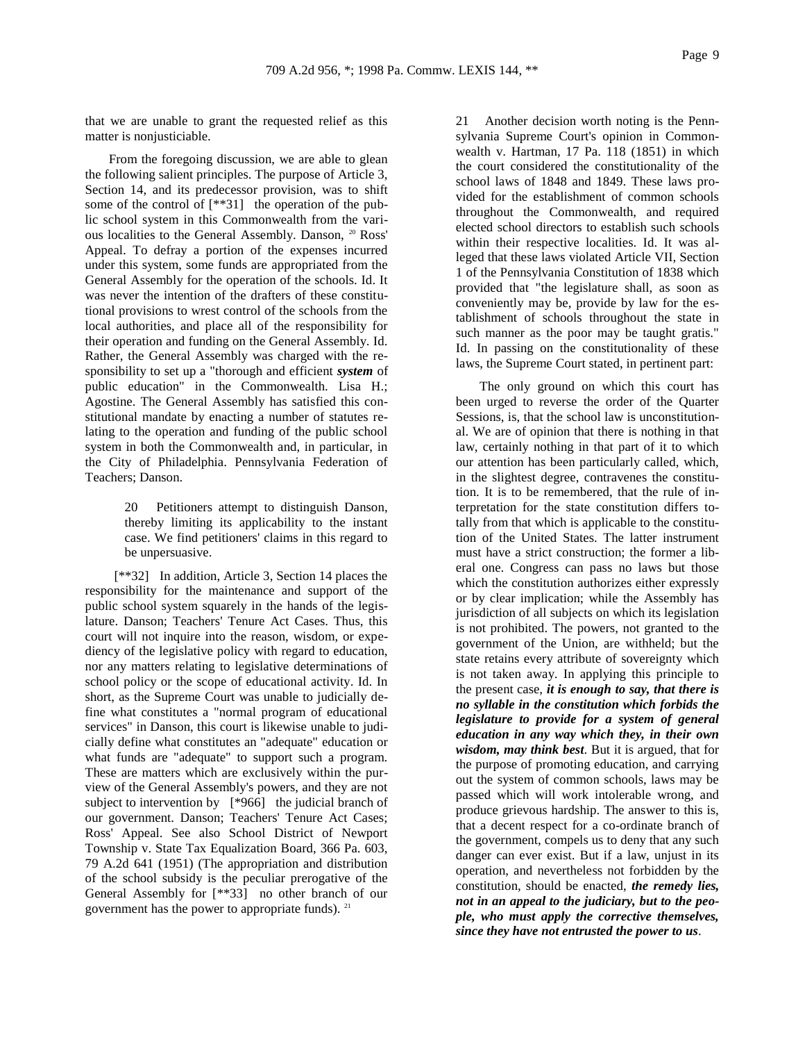that we are unable to grant the requested relief as this matter is nonjusticiable.

From the foregoing discussion, we are able to glean the following salient principles. The purpose of Article 3, Section 14, and its predecessor provision, was to shift some of the control of [\*\*31] the operation of the public school system in this Commonwealth from the various localities to the General Assembly. Danson, <sup>20</sup> Ross' Appeal. To defray a portion of the expenses incurred under this system, some funds are appropriated from the General Assembly for the operation of the schools. Id. It was never the intention of the drafters of these constitutional provisions to wrest control of the schools from the local authorities, and place all of the responsibility for their operation and funding on the General Assembly. Id. Rather, the General Assembly was charged with the responsibility to set up a "thorough and efficient *system* of public education" in the Commonwealth. Lisa H.; Agostine. The General Assembly has satisfied this constitutional mandate by enacting a number of statutes relating to the operation and funding of the public school system in both the Commonwealth and, in particular, in the City of Philadelphia. Pennsylvania Federation of Teachers; Danson.

> 20 Petitioners attempt to distinguish Danson, thereby limiting its applicability to the instant case. We find petitioners' claims in this regard to be unpersuasive.

[\*\*32] In addition, Article 3, Section 14 places the responsibility for the maintenance and support of the public school system squarely in the hands of the legislature. Danson; Teachers' Tenure Act Cases. Thus, this court will not inquire into the reason, wisdom, or expediency of the legislative policy with regard to education, nor any matters relating to legislative determinations of school policy or the scope of educational activity. Id. In short, as the Supreme Court was unable to judicially define what constitutes a "normal program of educational services" in Danson, this court is likewise unable to judicially define what constitutes an "adequate" education or what funds are "adequate" to support such a program. These are matters which are exclusively within the purview of the General Assembly's powers, and they are not subject to intervention by [\*966] the judicial branch of our government. Danson; Teachers' Tenure Act Cases; Ross' Appeal. See also School District of Newport Township v. State Tax Equalization Board, 366 Pa. 603, 79 A.2d 641 (1951) (The appropriation and distribution of the school subsidy is the peculiar prerogative of the General Assembly for [\*\*33] no other branch of our government has the power to appropriate funds). <sup>21</sup>

21 Another decision worth noting is the Pennsylvania Supreme Court's opinion in Commonwealth v. Hartman, 17 Pa. 118 (1851) in which the court considered the constitutionality of the school laws of 1848 and 1849. These laws provided for the establishment of common schools throughout the Commonwealth, and required elected school directors to establish such schools within their respective localities. Id. It was alleged that these laws violated Article VII, Section 1 of the Pennsylvania Constitution of 1838 which provided that "the legislature shall, as soon as conveniently may be, provide by law for the establishment of schools throughout the state in such manner as the poor may be taught gratis." Id. In passing on the constitutionality of these laws, the Supreme Court stated, in pertinent part:

The only ground on which this court has been urged to reverse the order of the Quarter Sessions, is, that the school law is unconstitutional. We are of opinion that there is nothing in that law, certainly nothing in that part of it to which our attention has been particularly called, which, in the slightest degree, contravenes the constitution. It is to be remembered, that the rule of interpretation for the state constitution differs totally from that which is applicable to the constitution of the United States. The latter instrument must have a strict construction; the former a liberal one. Congress can pass no laws but those which the constitution authorizes either expressly or by clear implication; while the Assembly has jurisdiction of all subjects on which its legislation is not prohibited. The powers, not granted to the government of the Union, are withheld; but the state retains every attribute of sovereignty which is not taken away. In applying this principle to the present case, *it is enough to say, that there is no syllable in the constitution which forbids the legislature to provide for a system of general education in any way which they, in their own wisdom, may think best*. But it is argued, that for the purpose of promoting education, and carrying out the system of common schools, laws may be passed which will work intolerable wrong, and produce grievous hardship. The answer to this is, that a decent respect for a co-ordinate branch of the government, compels us to deny that any such danger can ever exist. But if a law, unjust in its operation, and nevertheless not forbidden by the constitution, should be enacted, *the remedy lies, not in an appeal to the judiciary, but to the people, who must apply the corrective themselves, since they have not entrusted the power to us*.